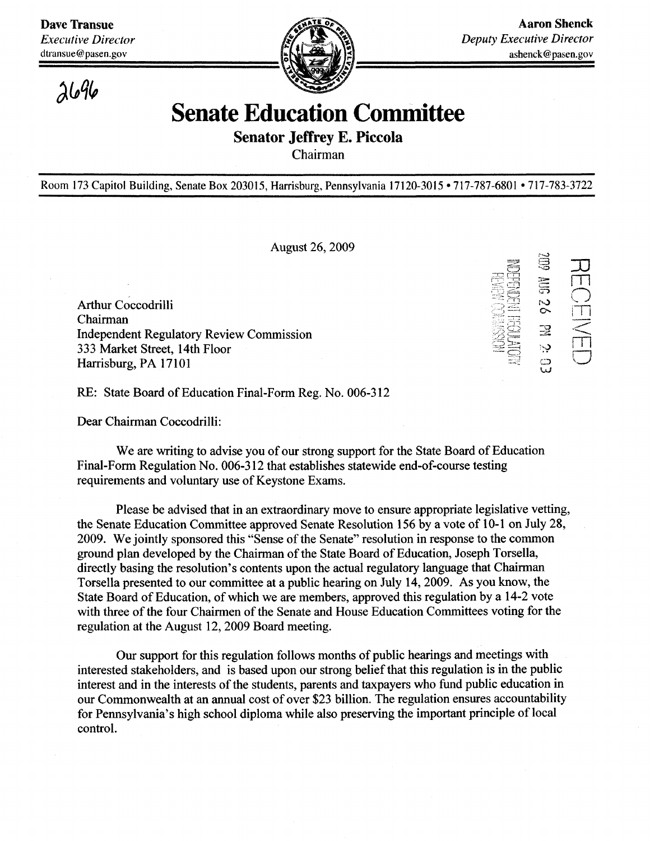dtransue@pasen.gov



*}U%*

## Senate Education Committee

Senator Jeffrey E. Piccola

Chairman

Room 173 Capitol Building, Senate Box 203015, Harrisburg, Pennsylvania 17120-3015 • 717-787-6801 • 717-783-3722

August 26, 2009

Arthur Coccodrilli Chairman Independent Regulatory Review Commission 333 Market Street, 14th Floor Harrisburg, PA 17101 Harrisburg, PA 17101

 $\widetilde{\Xi}$ 39<br>SS ភ្ញ 26 M 2 ຼ

 $\frac{1}{\Box}$ 

 $\bigcap_{i=1}^{\infty}$ 

m  $\subset$ 

RE: State Board of Education Final-Form Reg. No. 006-312 RE: State Board of Education Final-Form Reg. No. 006-312

Dear Chairman Coccodrilli:

We are writing to advise you of our strong support for the State Board of Education Final-Form Regulation No. 006-312 that establishes statewide end-of-course testing requirements and voluntary use of Keystone Exams.

Please be advised that in an extraordinary move to ensure appropriate legislative vetting, the Senate Education Committee approved Senate Resolution 156 by a vote of 10-1 on July 28, 2009. We jointly sponsored this "Sense of the Senate" resolution in response to the common ground plan developed by the Chairman of the State Board of Education, Joseph Torsella, directly basing the resolution's contents upon the actual regulatory language that Chairman Torsella presented to our committee at a public hearing on July 14, 2009. As you know, the State Board of Education, of which we are members, approved this regulation by a 14-2 vote with three of the four Chairmen of the Senate and House Education Committees voting for the regulation at the August 12, 2009 Board meeting.

Our support for this regulation follows months of public hearings and meetings with interested stakeholders, and is based upon our strong belief that this regulation is in the public interest and in the interests of the students, parents and taxpayers who fund public education in our Commonwealth at an annual cost of over \$23 billion. The regulation ensures accountability for Pennsylvania's high school diploma while also preserving the important principle of local control.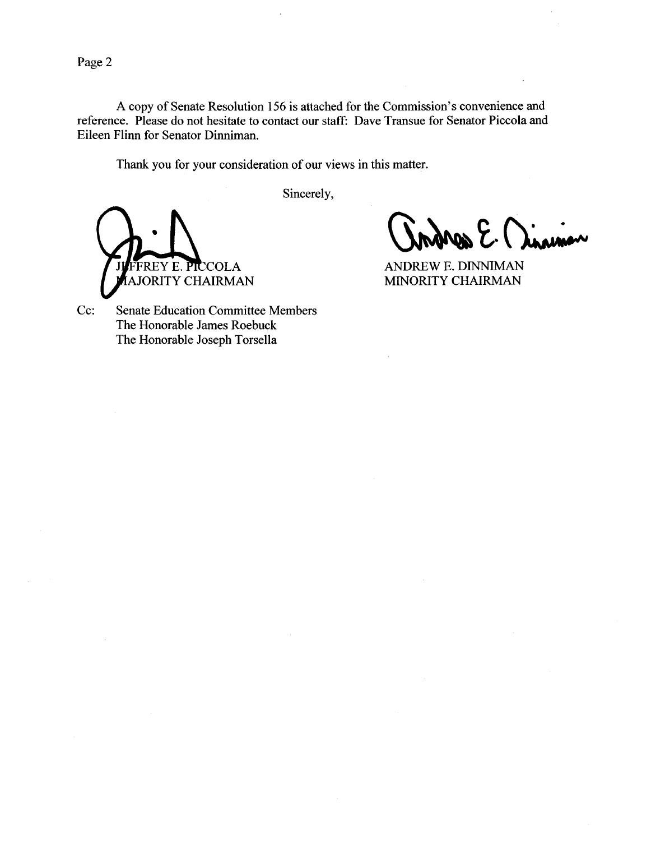Page 2

A copy of Senate Resolution 156 is attached for the Commission's convenience and reference. Please do not hesitate to contact our staff: Dave Transue for Senator Piccola and Eileen Flinn for Senator Dinniman.

Thank you for your consideration of our views in this matter.

Sincerely,



 $\mathcal{E}\cdot\bigcap_{k\leq m}\mathcal{E}$ 

ANDREW E. DINNIMAN MINORITY CHAIRMAN

Cc: Senate Education Committee Members The Honorable James Roebuck The Honorable Joseph Torsella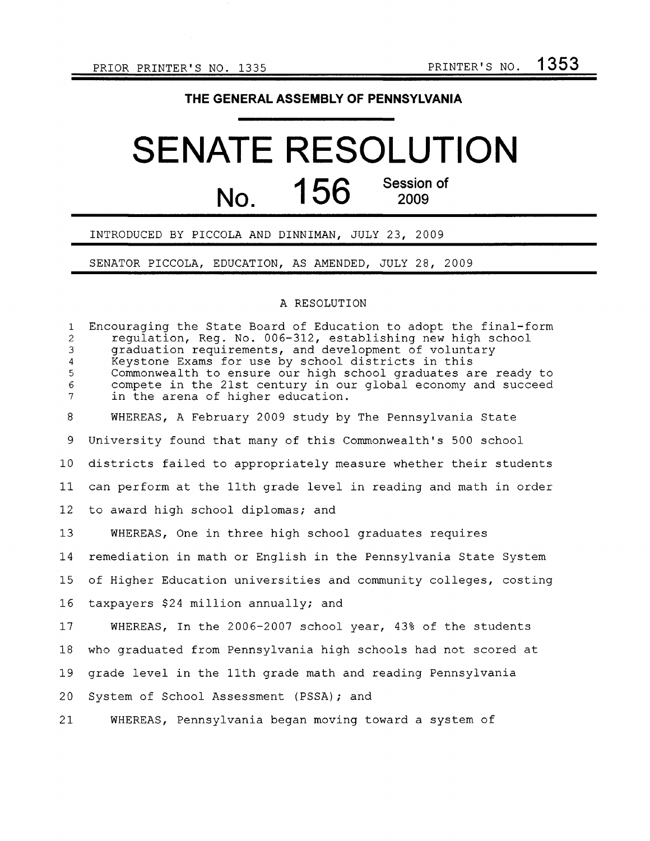### THE GENERAL ASSEMBLY OF PENNSYLVANIA

# SENATE RESOLUTION  $156$  Session of <u>NO.</u> 130 2009

### INTRODUCED BY PICCOLA AND DINNIMAN, JULY 23, 2009

SENATOR PICCOLA, EDUCATION, AS AMENDED, JULY 28, 2009

#### A RESOLUTION

1 Encouraging the State Board of Education to adopt the final-form 2 regulation, Reg. No. 006-312, establishing new high school 3 graduation requirements, and development of voluntary 4 Keystone Exams for use by school districts in this 5 Commonwealth to ensure our high school graduates are ready to 6 compete in the 21st century in our global economy and succeed in the arena of higher education. 8 WHEREAS, A February 2009 study by The Pennsylvania State 9 University found that many of this Commonwealth's 500 school 10 districts failed to appropriately measure whether their students 11 can perform at the 11th grade level in reading and math in order 12 to award high school diplomas; and 13 WHEREAS, One in three high school graduates requires 14 remediation in math or English in the Pennsylvania State System 15 of Higher Education universities and community colleges, costing 16 taxpayers \$24 million annually; and 17 WHEREAS, In the 2006-2007 school year, 43% of the students 18 who graduated from Pennsylvania high schools had not scored at 19 grade level in the 11th grade math and reading Pennsylvania 20 System of School Assessment (PSSA); and 21 WHEREAS, Pennsylvania began moving toward a system of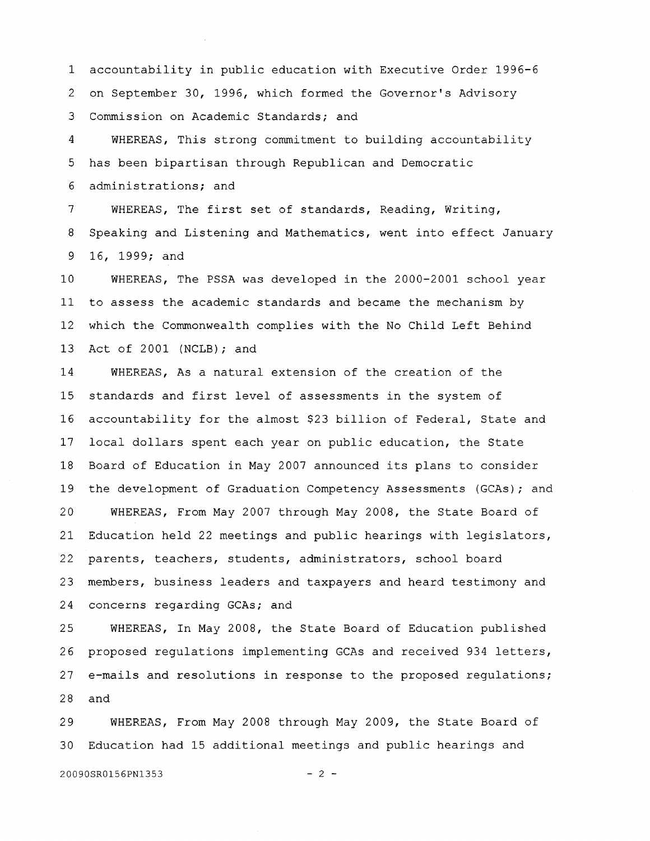1 accountability in public education with Executive Order 1996-6 2 on September 30, 1996, which formed the Governor's Advisory 3 Commission on Academic Standards; and

4 WHEREAS, This strong commitment to building accountability 5 has been bipartisan through Republican and Democratic 6 administrations; and

7 WHEREAS, The first set of standards, Reading, Writing, 8 Speaking and Listening and Mathematics, went into effect January 9 16, 1999; and

10 WHEREAS, The PSSA was developed in the 2000-2001 school year 11 to assess the academic standards and became the mechanism by 12 which the Commonwealth complies with the No Child Left Behind 13 Act of 2001 (NCLB); and

14 WHEREAS, As a natural extension of the creation of the 15 standards and first level of assessments in the system of 16 accountability for the almost \$23 billion of Federal, State and 17 local dollars spent each year on public education, the State 18 Board of Education in May 2007 announced its plans to consider 19 the development of Graduation Competency Assessments (GCAs); and 20 WHEREAS, From May 2007 through May 2008, the State Board of 21 Education held 22 meetings and public hearings with legislators, 22 parents, teachers, students, administrators, school board 23 members, business leaders and taxpayers and heard testimony and 24 concerns regarding GCAs; and

25 WHEREAS, In May 2008, the State Board of Education published 26 proposed regulations implementing GCAs and received 934 letters, 27 e-mails and resolutions in response to the proposed regulations; 28 and

29 WHEREAS, From May 2008 through May 2009, the State Board of 30 Education had 15 additional meetings and public hearings and

20090SR0156PN1353 - 2 -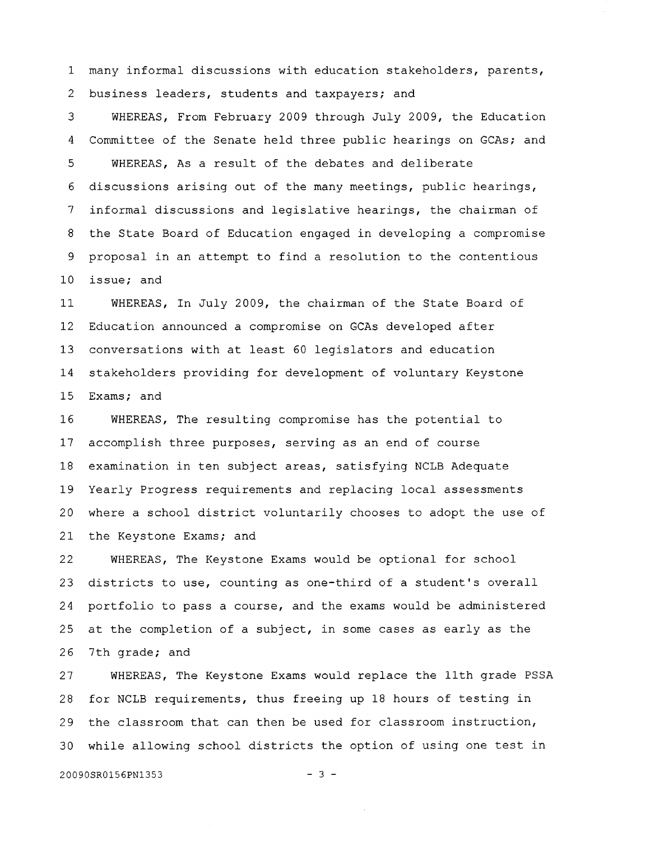1 many informal discussions with education stakeholders, parents, 2 business leaders, students and taxpayers; and

3 WHEREAS, From February 2009 through July 2009, the Education 4 Committee of the Senate held three public hearings on GCAs; and 5 WHEREAS, As a result of the debates and deliberate 6 discussions arising out of the many meetings, public hearings, 7 informal discussions and legislative hearings, the chairman of 8 the State Board of Education engaged in developing a compromise 9 proposal in an attempt to find a resolution to the contentious 10 issue; and

11 WHEREAS, In July 2009, the chairman of the State Board of 12 Education announced a compromise on GCAs developed after 13 conversations with at least 60 legislators and education 14 stakeholders providing for development of voluntary Keystone 15 Exams; and

16 WHEREAS, The resulting compromise has the potential to 17 accomplish three purposes, serving as an end of course 18 examination in ten subject areas, satisfying NCLB Adequate 19 Yearly Progress requirements and replacing local assessments 20 where a school district voluntarily chooses to adopt the use of 21 the Keystone Exams; and

22 WHEREAS, The Keystone Exams would be optional for school 23 districts to use, counting as one-third of a student's overall 24 portfolio to pass a course, and the exams would be administered 25 at the completion of a subject, in some cases as early as the 26 7th grade; and

27 WHEREAS, The Keystone Exams would replace the 11th grade PSSA 28 for NCLB requirements, thus freeing up 18 hours of testing in 29 the classroom that can then be used for classroom instruction, 30 while allowing school districts the option of using one test in

20090SR0156PN1353 - 3 -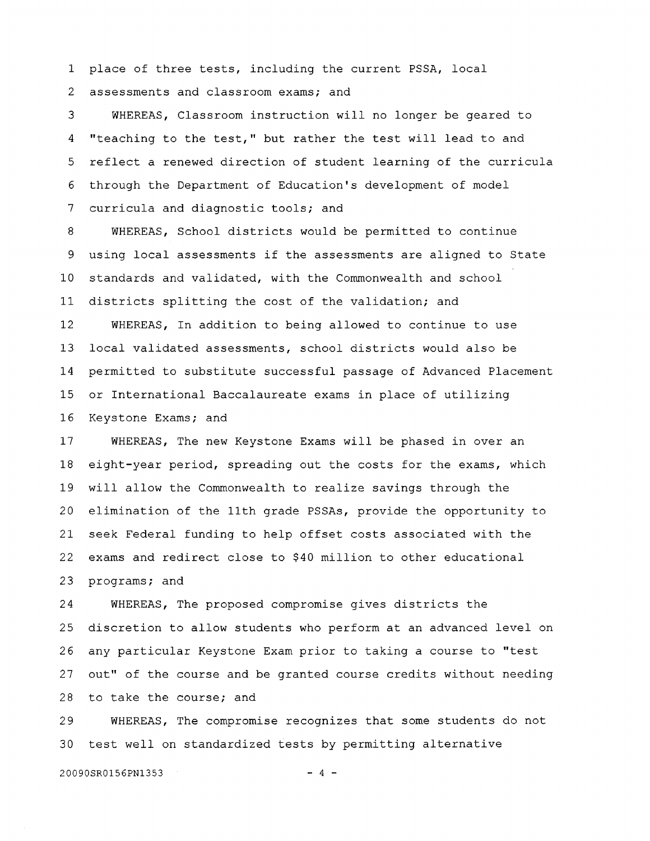1 place of three tests, including the current PSSA, local 2 assessments and classroom exams; and

3 WHEREAS, Classroom instruction will no longer be geared to 4 "teaching to the test," but rather the test will lead to and 5 reflect a renewed direction of student learning of the curricula 6 through the Department of Education's development of model 7 curricula and diagnostic tools; and

8 WHEREAS, School districts would be permitted to continue 9 using local assessments if the assessments are aligned to State 10 standards and validated, with the Commonwealth and school 11 districts splitting the cost of the validation; and 12 WHEREAS, In addition to being allowed to continue to use

13 local validated assessments, school districts would also be 14 permitted to substitute successful passage of Advanced Placement 15 or International Baccalaureate exams in place of utilizing 16 Keystone Exams; and

17 WHEREAS, The new Keystone Exams will be phased in over an 18 eight-year period, spreading out the costs for the exams, which 19 will allow the Commonwealth to realize savings through the 20 elimination of the 11th grade PSSAs, provide the opportunity to 21 seek Federal funding to help offset costs associated with the 22 exams and redirect close to \$40 million to other educational 23 programs; and

2 4 WHEREAS, The proposed compromise gives districts the 25 discretion to allow students who perform at an advanced level on 26 any particular Keystone Exam prior to taking a course to "test 27 out" of the course and be granted course credits without needing 28 to take the course; and

2 9 WHEREAS, The compromise recognizes that some students do not 30 test well on standardized tests by permitting alternative

20090SR0156PN1353 - 4 -